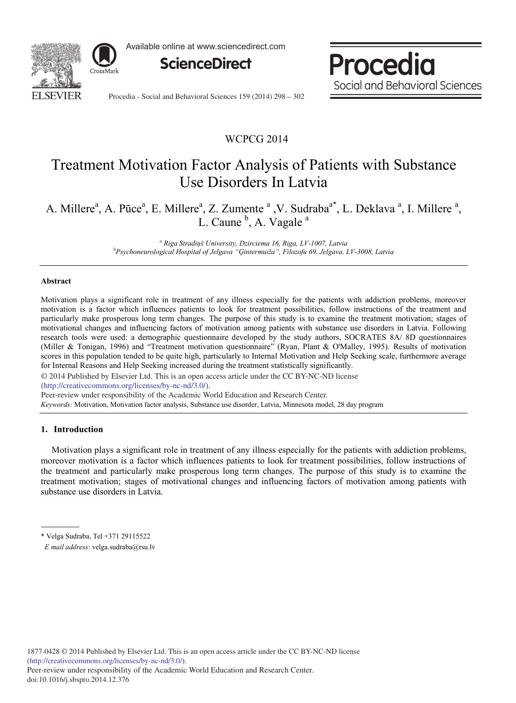

Available online at www.sciencedirect.com



Procedia Social and Behavioral Sciences

Procedia - Social and Behavioral Sciences 159 (2014) 298 - 302

# WCPCG 2014

# Treatment Motivation Factor Analysis of Patients with Substance Use Disorders In Latvia

A. Millere<sup>a</sup>, A. Pūce<sup>a</sup>, E. Millere<sup>a</sup>, Z. Zumente <sup>a</sup>, V. Sudraba<sup>a\*</sup>, L. Deklava <sup>a</sup>, I. Millere <sup>a</sup>, L. Caune<sup>b</sup>, A. Vagale<sup>a</sup>

> *<sup>a</sup> Riga Stradiņš University, Dzirciema 16, Riga, LV-1007, Latvia b Psychoneurological Hospital of Jelgava "Ģintermuiža", Filozofu 69. Jelgava, LV-3008, Latvia*

#### **Abstract**

Motivation plays a significant role in treatment of any illness especially for the patients with addiction problems, moreover motivation is a factor which influences patients to look for treatment possibilities, follow instructions of the treatment and particularly make prosperous long term changes. The purpose of this study is to examine the treatment motivation; stages of motivational changes and influencing factors of motivation among patients with substance use disorders in Latvia. Following research tools were used: a demographic questionnaire developed by the study authors, SOCRATES 8A/ 8D questionnaires (Miller & Tonigan, 1996) and "Treatment motivation questionnaire" (Ryan, Plant & O'Malley, 1995). Results of motivation scores in this population tended to be quite high, particularly to Internal Motivation and Help Seeking scale, furthermore average for Internal Reasons and Help Seeking increased during the treatment statistically significantly.

© 2014 Published by Elsevier Ltd. This is an open access article under the CC BY-NC-ND license

(http://creativecommons.org/licenses/by-nc-nd/3.0/).

Peer-review under responsibility of the Academic World Education and Research Center.

*Keywords:* Motivation, Motivation factor analysis, Substance use disorder, Latvia, Minnesota model, 28 day program

## **1. Introduction**

Motivation plays a significant role in treatment of any illness especially for the patients with addiction problems, moreover motivation is a factor which influences patients to look for treatment possibilities, follow instructions of the treatment and particularly make prosperous long term changes. The purpose of this study is to examine the treatment motivation; stages of motivational changes and influencing factors of motivation among patients with substance use disorders in Latvia.

<sup>\*</sup> Velga Sudraba, Tel +371 29115522

*E mail address*: velga.sudraba@rsu.lv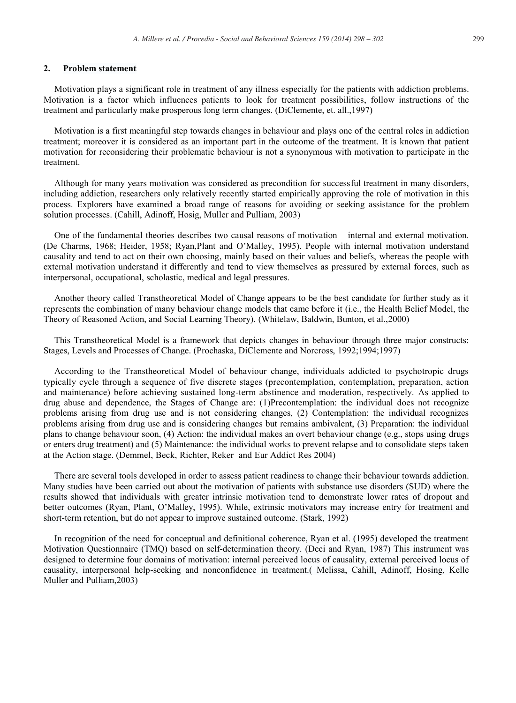#### **2. Problem statement**

Motivation plays a significant role in treatment of any illness especially for the patients with addiction problems. Motivation is a factor which influences patients to look for treatment possibilities, follow instructions of the treatment and particularly make prosperous long term changes. (DiClemente, et. all.,1997)

Motivation is a first meaningful step towards changes in behaviour and plays one of the central roles in addiction treatment; moreover it is considered as an important part in the outcome of the treatment. It is known that patient motivation for reconsidering their problematic behaviour is not a synonymous with motivation to participate in the treatment.

Although for many years motivation was considered as precondition for successful treatment in many disorders, including addiction, researchers only relatively recently started empirically approving the role of motivation in this process. Explorers have examined a broad range of reasons for avoiding or seeking assistance for the problem solution processes. (Cahill, Adinoff, Hosig, Muller and Pulliam, 2003)

One of the fundamental theories describes two causal reasons of motivation – internal and external motivation. (De Charms, 1968; Heider, 1958; Ryan,Plant and O'Malley, 1995). People with internal motivation understand causality and tend to act on their own choosing, mainly based on their values and beliefs, whereas the people with external motivation understand it differently and tend to view themselves as pressured by external forces, such as interpersonal, occupational, scholastic, medical and legal pressures.

Another theory called Transtheoretical Model of Change appears to be the best candidate for further study as it represents the combination of many behaviour change models that came before it (i.e., the Health Belief Model, the Theory of Reasoned Action, and Social Learning Theory). (Whitelaw, Baldwin, Bunton, et al.,2000)

This Transtheoretical Model is a framework that depicts changes in behaviour through three major constructs: Stages, Levels and Processes of Change. (Prochaska, DiClemente and Norcross, 1992;1994;1997)

According to the Transtheoretical Model of behaviour change, individuals addicted to psychotropic drugs typically cycle through a sequence of five discrete stages (precontemplation, contemplation, preparation, action and maintenance) before achieving sustained long-term abstinence and moderation, respectively. As applied to drug abuse and dependence, the Stages of Change are: (1)Precontemplation: the individual does not recognize problems arising from drug use and is not considering changes, (2) Contemplation: the individual recognizes problems arising from drug use and is considering changes but remains ambivalent, (3) Preparation: the individual plans to change behaviour soon, (4) Action: the individual makes an overt behaviour change (e.g., stops using drugs or enters drug treatment) and (5) Maintenance: the individual works to prevent relapse and to consolidate steps taken at the Action stage. (Demmel, Beck, Richter, Reker and Eur Addict Res 2004)

There are several tools developed in order to assess patient readiness to change their behaviour towards addiction. Many studies have been carried out about the motivation of patients with substance use disorders (SUD) where the results showed that individuals with greater intrinsic motivation tend to demonstrate lower rates of dropout and better outcomes (Ryan, Plant, O'Malley, 1995). While, extrinsic motivators may increase entry for treatment and short-term retention, but do not appear to improve sustained outcome. (Stark, 1992)

In recognition of the need for conceptual and definitional coherence, Ryan et al. (1995) developed the treatment Motivation Questionnaire (TMQ) based on self-determination theory. (Deci and Ryan, 1987) This instrument was designed to determine four domains of motivation: internal perceived locus of causality, external perceived locus of causality, interpersonal help-seeking and nonconfidence in treatment.( Melissa, Cahill, Adinoff, Hosing, Kelle Muller and Pulliam,2003)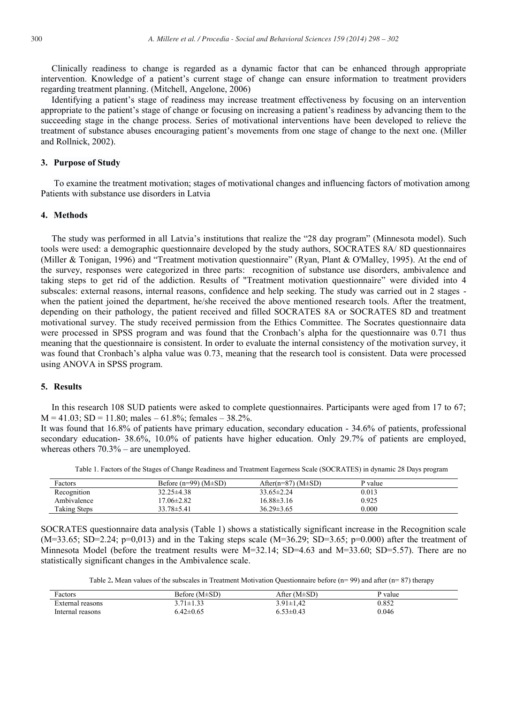Clinically readiness to change is regarded as a dynamic factor that can be enhanced through appropriate intervention. Knowledge of a patient's current stage of change can ensure information to treatment providers regarding treatment planning. (Mitchell, Angelone, 2006)

Identifying a patient's stage of readiness may increase treatment effectiveness by focusing on an intervention appropriate to the patient's stage of change or focusing on increasing a patient's readiness by advancing them to the succeeding stage in the change process. Series of motivational interventions have been developed to relieve the treatment of substance abuses encouraging patient's movements from one stage of change to the next one. (Miller and Rollnick, 2002).

#### **3. Purpose of Study**

To examine the treatment motivation; stages of motivational changes and influencing factors of motivation among Patients with substance use disorders in Latvia

#### **4. Methods**

The study was performed in all Latvia's institutions that realize the "28 day program" (Minnesota model). Such tools were used: a demographic questionnaire developed by the study authors, SOCRATES 8A/ 8D questionnaires (Miller & Tonigan, 1996) and "Treatment motivation questionnaire" (Ryan, Plant & O'Malley, 1995). At the end of the survey, responses were categorized in three parts: recognition of substance use disorders, ambivalence and taking steps to get rid of the addiction. Results of "Treatment motivation questionnaire" were divided into 4 subscales: external reasons, internal reasons, confidence and help seeking. The study was carried out in 2 stages when the patient joined the department, he/she received the above mentioned research tools. After the treatment, depending on their pathology, the patient received and filled SOCRATES 8A or SOCRATES 8D and treatment motivational survey. The study received permission from the Ethics Committee. The Socrates questionnaire data were processed in SPSS program and was found that the Cronbach's alpha for the questionnaire was 0.71 thus meaning that the questionnaire is consistent. In order to evaluate the internal consistency of the motivation survey, it was found that Cronbach's alpha value was 0.73, meaning that the research tool is consistent. Data were processed using ANOVA in SPSS program.

#### **5. Results**

In this research 108 SUD patients were asked to complete questionnaires. Participants were aged from 17 to 67;  $M = 41.03$ ;  $SD = 11.80$ ; males – 61.8%; females – 38.2%.

It was found that 16.8% of patients have primary education, secondary education - 34.6% of patients, professional secondary education- 38.6%, 10.0% of patients have higher education. Only 29.7% of patients are employed, whereas others 70.3% – are unemployed.

Table 1. Factors of the Stages of Change Readiness and Treatment Eagerness Scale (SOCRATES) in dynamic 28 Days program

| Factors      | Before $(n=99)$ $(M\pm SD)$ | After( $n=87$ ) ( $M\pm SD$ ) | P value   |  |
|--------------|-----------------------------|-------------------------------|-----------|--|
| Recognition  | $32.25 \pm 4.38$            | $33.65 \pm 2.24$              | 0.013     |  |
| Ambivalence  | $7.06 \pm 2.82$             | 16.88±3.16                    | 0.925     |  |
| Taking Steps | $33.78 \pm 5.41$            | $36.29 \pm 3.65$              | $0.000\,$ |  |

SOCRATES questionnaire data analysis (Table 1) shows a statistically significant increase in the Recognition scale  $(M=33.65; SD=2.24; p=0.013)$  and in the Taking steps scale  $(M=36.29; SD=3.65; p=0.000)$  after the treatment of Minnesota Model (before the treatment results were M=32.14; SD=4.63 and M=33.60; SD=5.57). There are no statistically significant changes in the Ambivalence scale.

Table 2**.** Mean values of the subscales in Treatment Motivation Questionnaire before (n= 99) and after (n= 87) therapy

| Factors          | Before $(M \pm SD)$ | After (M±SD)    | value |
|------------------|---------------------|-----------------|-------|
| External reasons | $\sim$<br>1 – 1.JJ  | $3.91 \pm 1.42$ | 0.852 |
| Internal reasons | $0.42 \pm 0.65$     | 6.53±0.43       | 0.046 |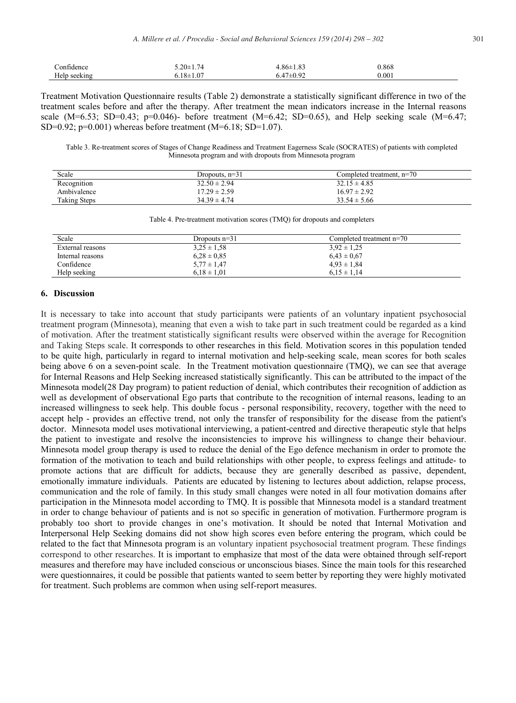| confidence   | $5.20 \pm 1.7$<br>74 | $4.86 \pm 1.83$    | 0.868 |  |
|--------------|----------------------|--------------------|-------|--|
| Help seeking | $,18\pm1.07$         | 47⊥∩ 0∩<br>$-U.72$ | 0.001 |  |

Treatment Motivation Questionnaire results (Table 2) demonstrate a statistically significant difference in two of the treatment scales before and after the therapy. After treatment the mean indicators increase in the Internal reasons scale  $(M=6.53; SD=0.43; p=0.046)$ - before treatment  $(M=6.42; SD=0.65)$ , and Help seeking scale  $(M=6.47;$ SD=0.92;  $p=0.001$ ) whereas before treatment (M=6.18; SD=1.07).

Table 3. Re-treatment scores of Stages of Change Readiness and Treatment Eagerness Scale (SOCRATES) of patients with completed Minnesota program and with dropouts from Minnesota program

| Scale        | Dropouts. n=31   | Completed treatment. n=70 |
|--------------|------------------|---------------------------|
| Recognition  | $32.50 \pm 2.94$ | $32.15 \pm 4.85$          |
| Ambivalence  | $17.29 \pm 2.59$ | $16.97 \pm 2.92$          |
| Taking Steps | $34.39 \pm 4.74$ | $33.54 \pm 5.66$          |

| Scale            | Dropouts $n=31$ | Completed treatment $n=70$ |
|------------------|-----------------|----------------------------|
| External reasons | $3.25 \pm 1.58$ | $3.92 \pm 1.25$            |
| Internal reasons | $6.28 \pm 0.85$ | $6.43 \pm 0.67$            |
| Confidence       | $5.77 \pm 1.47$ | $4.93 \pm 1.84$            |
| Help seeking     | $6.18 \pm 1.01$ | $6.15 \pm 1.14$            |

Table 4. Pre-treatment motivation scores (TMQ) for dropouts and completers

### **6. Discussion**

It is necessary to take into account that study participants were patients of an voluntary inpatient psychosocial treatment program (Minnesota), meaning that even a wish to take part in such treatment could be regarded as a kind of motivation. After the treatment statistically significant results were observed within the average for Recognition and Taking Steps scale. It corresponds to other researches in this field. Motivation scores in this population tended to be quite high, particularly in regard to internal motivation and help-seeking scale, mean scores for both scales being above 6 on a seven-point scale. In the Treatment motivation questionnaire (TMQ), we can see that average for Internal Reasons and Help Seeking increased statistically significantly. This can be attributed to the impact of the Minnesota model(28 Day program) to patient reduction of denial, which contributes their recognition of addiction as well as development of observational Ego parts that contribute to the recognition of internal reasons, leading to an increased willingness to seek help. This double focus - personal responsibility, recovery, together with the need to accept help - provides an effective trend, not only the transfer of responsibility for the disease from the patient's doctor. Minnesota model uses motivational interviewing, a patient-centred and directive therapeutic style that helps the patient to investigate and resolve the inconsistencies to improve his willingness to change their behaviour. Minnesota model group therapy is used to reduce the denial of the Ego defence mechanism in order to promote the formation of the motivation to teach and build relationships with other people, to express feelings and attitude- to promote actions that are difficult for addicts, because they are generally described as passive, dependent, emotionally immature individuals. Patients are educated by listening to lectures about addiction, relapse process, communication and the role of family. In this study small changes were noted in all four motivation domains after participation in the Minnesota model according to TMQ. It is possible that Minnesota model is a standard treatment in order to change behaviour of patients and is not so specific in generation of motivation. Furthermore program is probably too short to provide changes in one's motivation. It should be noted that Internal Motivation and Interpersonal Help Seeking domains did not show high scores even before entering the program, which could be related to the fact that Minnesota program is an voluntary inpatient psychosocial treatment program. These findings correspond to other researches. It is important to emphasize that most of the data were obtained through self-report measures and therefore may have included conscious or unconscious biases. Since the main tools for this researched were questionnaires, it could be possible that patients wanted to seem better by reporting they were highly motivated for treatment. Such problems are common when using self-report measures.